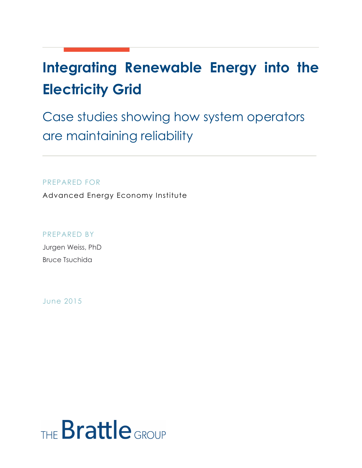# **Integrating Renewable Energy into the Electricity Grid**

Case studies showing how system operators are maintaining reliability

PREPARED FOR

Advanced Energy Economy Institute

PREPARED BY

Jurgen Weiss, PhD Bruce Tsuchida

June 2015

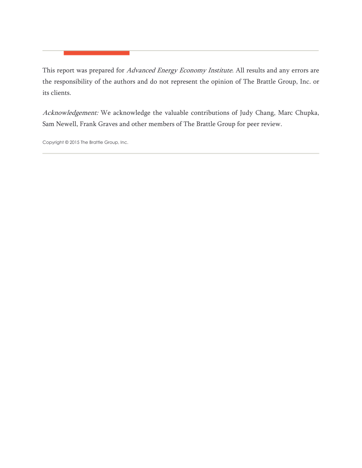This report was prepared for Advanced Energy Economy Institute. All results and any errors are the responsibility of the authors and do not represent the opinion of The Brattle Group, Inc. or its clients.

Acknowledgement: We acknowledge the valuable contributions of Judy Chang, Marc Chupka, Sam Newell, Frank Graves and other members of The Brattle Group for peer review.

Copyright © 2015 The Brattle Group, Inc.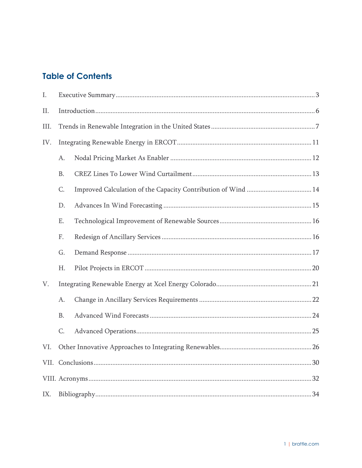# **Table of Contents**

| I.   |           |  |  |  |  |
|------|-----------|--|--|--|--|
| П.   |           |  |  |  |  |
| III. |           |  |  |  |  |
| IV.  |           |  |  |  |  |
|      | A.        |  |  |  |  |
|      | <b>B.</b> |  |  |  |  |
|      | C.        |  |  |  |  |
|      | D.        |  |  |  |  |
|      | Ε.        |  |  |  |  |
|      | F.        |  |  |  |  |
|      | G.        |  |  |  |  |
|      | Η.        |  |  |  |  |
| V.   |           |  |  |  |  |
|      | A.        |  |  |  |  |
|      | <b>B.</b> |  |  |  |  |
|      | C.        |  |  |  |  |
| VI.  |           |  |  |  |  |
|      |           |  |  |  |  |
|      |           |  |  |  |  |
| IX.  |           |  |  |  |  |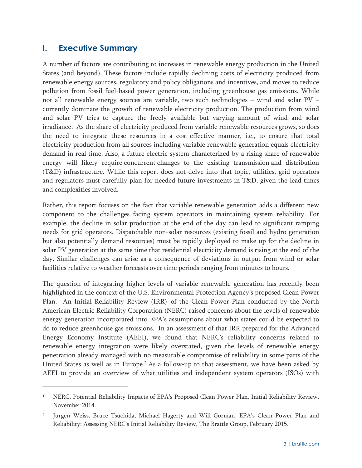# **I. Executive Summary**

 $\overline{a}$ 

A number of factors are contributing to increases in renewable energy production in the United States (and beyond). These factors include rapidly declining costs of electricity produced from renewable energy sources, regulatory and policy obligations and incentives, and moves to reduce pollution from fossil fuel-based power generation, including greenhouse gas emissions. While not all renewable energy sources are variable, two such technologies – wind and solar PV – currently dominate the growth of renewable electricity production. The production from wind and solar PV tries to capture the freely available but varying amount of wind and solar irradiance. As the share of electricity produced from variable renewable resources grows, so does the need to integrate these resources in a cost-effective manner, i.e., to ensure that total electricity production from all sources including variable renewable generation equals electricity demand in real time. Also, a future electric system characterized by a rising share of renewable energy will likely require concurrent changes to the existing transmission and distribution (T&D) infrastructure. While this report does not delve into that topic, utilities, grid operators and regulators must carefully plan for needed future investments in T&D, given the lead times and complexities involved.

Rather, this report focuses on the fact that variable renewable generation adds a different new component to the challenges facing system operators in maintaining system reliability. For example, the decline in solar production at the end of the day can lead to significant ramping needs for grid operators. Dispatchable non-solar resources (existing fossil and hydro generation but also potentially demand resources) must be rapidly deployed to make up for the decline in solar PV generation at the same time that residential electricity demand is rising at the end of the day. Similar challenges can arise as a consequence of deviations in output from wind or solar facilities relative to weather forecasts over time periods ranging from minutes to hours.

The question of integrating higher levels of variable renewable generation has recently been highlighted in the context of the U.S. Environmental Protection Agency's proposed Clean Power Plan. An Initial Reliability Review (IRR)<sup>1</sup> of the Clean Power Plan conducted by the North American Electric Reliability Corporation (NERC) raised concerns about the levels of renewable energy generation incorporated into EPA's assumptions about what states could be expected to do to reduce greenhouse gas emissions. In an assessment of that IRR prepared for the Advanced Energy Economy Institute (AEEI), we found that NERC's reliability concerns related to renewable energy integration were likely overstated, given the levels of renewable energy penetration already managed with no measurable compromise of reliability in some parts of the United States as well as in Europe.<sup>2</sup> As a follow-up to that assessment, we have been asked by AEEI to provide an overview of what utilities and independent system operators (ISOs) with

<sup>1</sup> NERC, Potential Reliability Impacts of EPA's Proposed Clean Power Plan, Initial Reliability Review, November 2014.

Jurgen Weiss, Bruce Tsuchida, Michael Hagerty and Will Gorman, EPA's Clean Power Plan and Reliability: Assessing NERC's Initial Reliability Review, The Brattle Group, February 2015.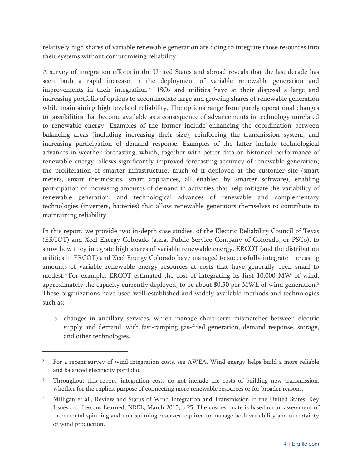relatively high shares of variable renewable generation are doing to integrate those resources into their systems without compromising reliability.

A survey of integration efforts in the United States and abroad reveals that the last decade has seen both a rapid increase in the deployment of variable renewable generation and improvements in their integration.<sup>3</sup> ISOs and utilities have at their disposal a large and increasing portfolio of options to accommodate large and growing shares of renewable generation while maintaining high levels of reliability. The options range from purely operational changes to possibilities that become available as a consequence of advancements in technology unrelated to renewable energy. Examples of the former include enhancing the coordination between balancing areas (including increasing their size), reinforcing the transmission system, and increasing participation of demand response. Examples of the latter include technological advances in weather forecasting, which, together with better data on historical performance of renewable energy, allows significantly improved forecasting accuracy of renewable generation; the proliferation of smarter infrastructure, much of it deployed at the customer site (smart meters, smart thermostats, smart appliances, all enabled by smarter software), enabling participation of increasing amounts of demand in activities that help mitigate the variability of renewable generation; and technological advances of renewable and complementary technologies (inverters, batteries) that allow renewable generators themselves to contribute to maintaining reliability.

In this report, we provide two in-depth case studies, of the Electric Reliability Council of Texas (ERCOT) and Xcel Energy Colorado (a.k.a. Public Service Company of Colorado, or PSCo), to show how they integrate high shares of variable renewable energy. ERCOT (and the distribution utilities in ERCOT) and Xcel Energy Colorado have managed to successfully integrate increasing amounts of variable renewable energy resources at costs that have generally been small to modest.4 For example, ERCOT estimated the cost of integrating its first 10,000 MW of wind, approximately the capacity currently deployed, to be about \$0.50 per MWh of wind generation.5 These organizations have used well-established and widely available methods and technologies such as:

o changes in ancillary services, which manage short-term mismatches between electric supply and demand, with fast-ramping gas-fired generation, demand response, storage, and other technologies,

-

<sup>&</sup>lt;sup>3</sup> For a recent survey of wind integration costs, see AWEA, Wind energy helps build a more reliable and balanced electricity portfolio.

<sup>4</sup> Throughout this report, integration costs do not include the costs of building new transmission, whether for the explicit purpose of connecting more renewable resources or for broader reasons.

<sup>5</sup> Milligan et al., Review and Status of Wind Integration and Transmission in the United States: Key Issues and Lessons Learned, NREL, March 2015, p.25. The cost estimate is based on an assessment of incremental spinning and non-spinning reserves required to manage both variability and uncertainty of wind production.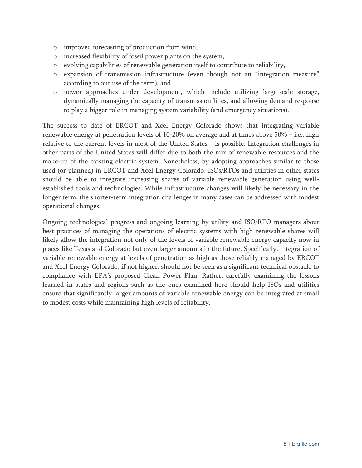- o improved forecasting of production from wind,
- o increased flexibility of fossil power plants on the system,
- o evolving capabilities of renewable generation itself to contribute to reliability,
- o expansion of transmission infrastructure (even though not an "integration measure" according to our use of the term), and
- o newer approaches under development, which include utilizing large-scale storage, dynamically managing the capacity of transmission lines, and allowing demand response to play a bigger role in managing system variability (and emergency situations).

The success to date of ERCOT and Xcel Energy Colorado shows that integrating variable renewable energy at penetration levels of 10-20% on average and at times above 50% – i.e., high relative to the current levels in most of the United States – is possible. Integration challenges in other parts of the United States will differ due to both the mix of renewable resources and the make-up of the existing electric system. Nonetheless, by adopting approaches similar to those used (or planned) in ERCOT and Xcel Energy Colorado, ISOs/RTOs and utilities in other states should be able to integrate increasing shares of variable renewable generation using wellestablished tools and technologies. While infrastructure changes will likely be necessary in the longer term, the shorter-term integration challenges in many cases can be addressed with modest operational changes.

Ongoing technological progress and ongoing learning by utility and ISO/RTO managers about best practices of managing the operations of electric systems with high renewable shares will likely allow the integration not only of the levels of variable renewable energy capacity now in places like Texas and Colorado but even larger amounts in the future. Specifically, integration of variable renewable energy at levels of penetration as high as those reliably managed by ERCOT and Xcel Energy Colorado, if not higher, should not be seen as a significant technical obstacle to compliance with EPA's proposed Clean Power Plan. Rather, carefully examining the lessons learned in states and regions such as the ones examined here should help ISOs and utilities ensure that significantly larger amounts of variable renewable energy can be integrated at small to modest costs while maintaining high levels of reliability.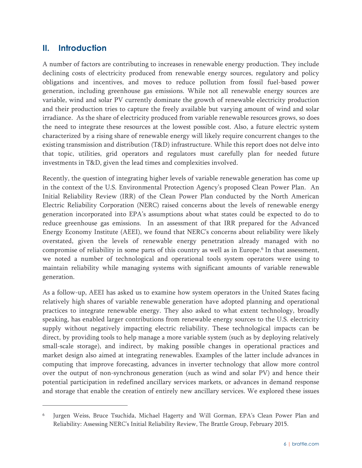# **II. Introduction**

 $\overline{a}$ 

A number of factors are contributing to increases in renewable energy production. They include declining costs of electricity produced from renewable energy sources, regulatory and policy obligations and incentives, and moves to reduce pollution from fossil fuel-based power generation, including greenhouse gas emissions. While not all renewable energy sources are variable, wind and solar PV currently dominate the growth of renewable electricity production and their production tries to capture the freely available but varying amount of wind and solar irradiance. As the share of electricity produced from variable renewable resources grows, so does the need to integrate these resources at the lowest possible cost. Also, a future electric system characterized by a rising share of renewable energy will likely require concurrent changes to the existing transmission and distribution (T&D) infrastructure. While this report does not delve into that topic, utilities, grid operators and regulators must carefully plan for needed future investments in T&D, given the lead times and complexities involved.

Recently, the question of integrating higher levels of variable renewable generation has come up in the context of the U.S. Environmental Protection Agency's proposed Clean Power Plan. An Initial Reliability Review (IRR) of the Clean Power Plan conducted by the North American Electric Reliability Corporation (NERC) raised concerns about the levels of renewable energy generation incorporated into EPA's assumptions about what states could be expected to do to reduce greenhouse gas emissions. In an assessment of that IRR prepared for the Advanced Energy Economy Institute (AEEI), we found that NERC's concerns about reliability were likely overstated, given the levels of renewable energy penetration already managed with no compromise of reliability in some parts of this country as well as in Europe.<sup>6</sup> In that assessment, we noted a number of technological and operational tools system operators were using to maintain reliability while managing systems with significant amounts of variable renewable generation.

As a follow-up, AEEI has asked us to examine how system operators in the United States facing relatively high shares of variable renewable generation have adopted planning and operational practices to integrate renewable energy. They also asked to what extent technology, broadly speaking, has enabled larger contributions from renewable energy sources to the U.S. electricity supply without negatively impacting electric reliability. These technological impacts can be direct, by providing tools to help manage a more variable system (such as by deploying relatively small-scale storage), and indirect, by making possible changes in operational practices and market design also aimed at integrating renewables. Examples of the latter include advances in computing that improve forecasting, advances in inverter technology that allow more control over the output of non-synchronous generation (such as wind and solar PV) and hence their potential participation in redefined ancillary services markets, or advances in demand response and storage that enable the creation of entirely new ancillary services. We explored these issues

Jurgen Weiss, Bruce Tsuchida, Michael Hagerty and Will Gorman, EPA's Clean Power Plan and Reliability: Assessing NERC's Initial Reliability Review, The Brattle Group, February 2015.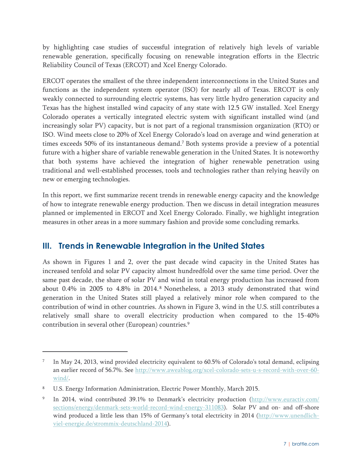by highlighting case studies of successful integration of relatively high levels of variable renewable generation, specifically focusing on renewable integration efforts in the Electric Reliability Council of Texas (ERCOT) and Xcel Energy Colorado.

ERCOT operates the smallest of the three independent interconnections in the United States and functions as the independent system operator (ISO) for nearly all of Texas. ERCOT is only weakly connected to surrounding electric systems, has very little hydro generation capacity and Texas has the highest installed wind capacity of any state with 12.5 GW installed. Xcel Energy Colorado operates a vertically integrated electric system with significant installed wind (and increasingly solar PV) capacity, but is not part of a regional transmission organization (RTO) or ISO. Wind meets close to 20% of Xcel Energy Colorado's load on average and wind generation at times exceeds 50% of its instantaneous demand.7 Both systems provide a preview of a potential future with a higher share of variable renewable generation in the United States. It is noteworthy that both systems have achieved the integration of higher renewable penetration using traditional and well-established processes, tools and technologies rather than relying heavily on new or emerging technologies.

In this report, we first summarize recent trends in renewable energy capacity and the knowledge of how to integrate renewable energy production. Then we discuss in detail integration measures planned or implemented in ERCOT and Xcel Energy Colorado. Finally, we highlight integration measures in other areas in a more summary fashion and provide some concluding remarks.

# **III. Trends in Renewable Integration in the United States**

As shown in Figures 1 and 2, over the past decade wind capacity in the United States has increased tenfold and solar PV capacity almost hundredfold over the same time period. Over the same past decade, the share of solar PV and wind in total energy production has increased from about 0.4% in 2005 to 4.8% in 2014. 8 Nonetheless, a 2013 study demonstrated that wind generation in the United States still played a relatively minor role when compared to the contribution of wind in other countries. As shown in Figure 3, wind in the U.S. still contributes a relatively small share to overall electricity production when compared to the 15-40% contribution in several other (European) countries.<sup>9</sup>

In May 24, 2013, wind provided electricity equivalent to 60.5% of Colorado's total demand, eclipsing an earlier record of 56.7%. See http://www.aweablog.org/xcel-colorado-sets-u-s-record-with-over-60wind/.

<sup>8</sup> U.S. Energy Information Administration, Electric Power Monthly, March 2015.

<sup>&</sup>lt;sup>9</sup> In 2014, wind contributed 39.1% to Denmark's electricity production (http://www.euractiv.com/ sections/energy/denmark-sets-world-record-wind-energy-311083). Solar PV and on- and off-shore wind produced a little less than 15% of Germany's total electricity in 2014 (http://www.unendlichviel-energie.de/strommix-deutschland-2014).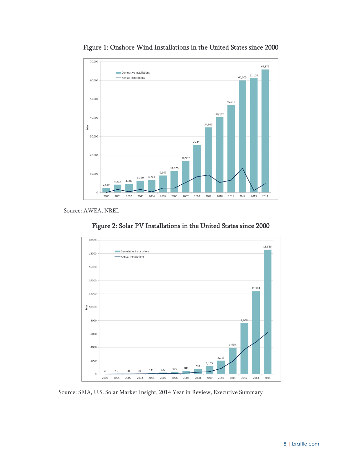

Figure 1: Onshore Wind Installations in the United States since 2000

Source: AWEA, NREL





Source: SEIA, U.S. Solar Market Insight, 2014 Year in Review, Executive Summary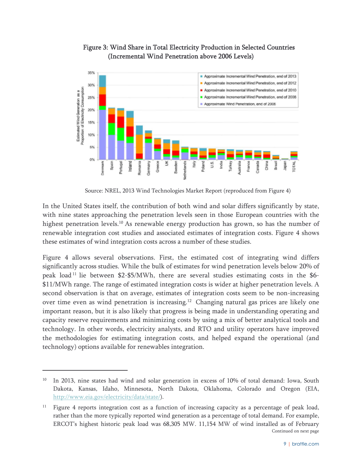

#### Figure 3: Wind Share in Total Electricity Production in Selected Countries (Incremental Wind Penetration above 2006 Levels)

Source: NREL, 2013 Wind Technologies Market Report (reproduced from Figure 4)

In the United States itself, the contribution of both wind and solar differs significantly by state, with nine states approaching the penetration levels seen in those European countries with the highest penetration levels.<sup>10</sup> As renewable energy production has grown, so has the number of renewable integration cost studies and associated estimates of integration costs. Figure 4 shows these estimates of wind integration costs across a number of these studies.

Figure 4 allows several observations. First, the estimated cost of integrating wind differs significantly across studies. While the bulk of estimates for wind penetration levels below 20% of peak load<sup>11</sup> lie between \$2-\$5/MWh, there are several studies estimating costs in the \$6-\$11/MWh range. The range of estimated integration costs is wider at higher penetration levels. A second observation is that on average, estimates of integration costs seem to be non-increasing over time even as wind penetration is increasing.<sup>12</sup> Changing natural gas prices are likely one important reason, but it is also likely that progress is being made in understanding operating and capacity reserve requirements and minimizing costs by using a mix of better analytical tools and technology. In other words, electricity analysts, and RTO and utility operators have improved the methodologies for estimating integration costs, and helped expand the operational (and technology) options available for renewables integration.

<sup>&</sup>lt;sup>10</sup> In 2013, nine states had wind and solar generation in excess of 10% of total demand: Iowa, South Dakota, Kansas, Idaho, Minnesota, North Dakota, Oklahoma, Colorado and Oregon (EIA, http://www.eia.gov/electricity/data/state/).

<sup>&</sup>lt;sup>11</sup> Figure 4 reports integration cost as a function of increasing capacity as a percentage of peak load, rather than the more typically reported wind generation as a percentage of total demand. For example, ERCOT's highest historic peak load was 68,305 MW. 11,154 MW of wind installed as of February Continued on next page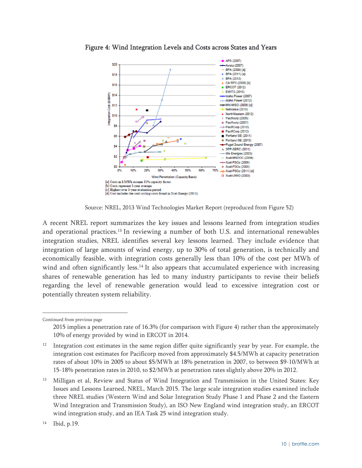

Figure 4: Wind Integration Levels and Costs across States and Years

Source: NREL, 2013 Wind Technologies Market Report (reproduced from Figure 52)

A recent NREL report summarizes the key issues and lessons learned from integration studies and operational practices.<sup>13</sup> In reviewing a number of both U.S. and international renewables integration studies, NREL identifies several key lessons learned. They include evidence that integration of large amounts of wind energy, up to 30% of total generation, is technically and economically feasible, with integration costs generally less than 10% of the cost per MWh of wind and often significantly less.<sup>14</sup> It also appears that accumulated experience with increasing shares of renewable generation has led to many industry participants to revise their beliefs regarding the level of renewable generation would lead to excessive integration cost or potentially threaten system reliability.

Continued from previous page

<sup>2015</sup> implies a penetration rate of 16.3% (for comparison with Figure 4) rather than the approximately 10% of energy provided by wind in ERCOT in 2014.

<sup>12</sup> Integration cost estimates in the same region differ quite significantly year by year. For example, the integration cost estimates for Pacificorp moved from approximately \$4.5/MWh at capacity penetration rates of about 10% in 2005 to about \$5/MWh at 18% penetration in 2007, to between \$9-10/MWh at 15-18% penetration rates in 2010, to \$2/MWh at penetration rates slightly above 20% in 2012.

<sup>&</sup>lt;sup>13</sup> Milligan et al, Review and Status of Wind Integration and Transmission in the United States: Key Issues and Lessons Learned, NREL, March 2015. The large scale integration studies examined include three NREL studies (Western Wind and Solar Integration Study Phase 1 and Phase 2 and the Eastern Wind Integration and Transmission Study), an ISO New England wind integration study, an ERCOT wind integration study, and an IEA Task 25 wind integration study.

<sup>14</sup> Ibid, p.19.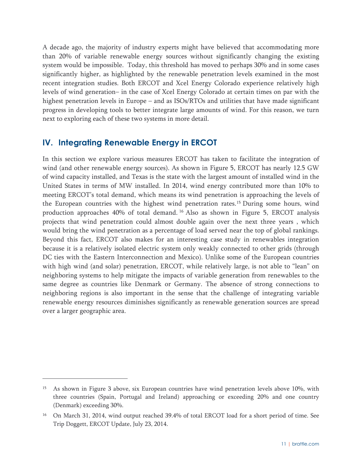A decade ago, the majority of industry experts might have believed that accommodating more than 20% of variable renewable energy sources without significantly changing the existing system would be impossible. Today, this threshold has moved to perhaps 30% and in some cases significantly higher, as highlighted by the renewable penetration levels examined in the most recent integration studies. Both ERCOT and Xcel Energy Colorado experience relatively high levels of wind generation– in the case of Xcel Energy Colorado at certain times on par with the highest penetration levels in Europe – and as ISOs/RTOs and utilities that have made significant progress in developing tools to better integrate large amounts of wind. For this reason, we turn next to exploring each of these two systems in more detail.

# **IV. Integrating Renewable Energy in ERCOT**

 $\overline{a}$ 

In this section we explore various measures ERCOT has taken to facilitate the integration of wind (and other renewable energy sources). As shown in Figure 5, ERCOT has nearly 12.5 GW of wind capacity installed, and Texas is the state with the largest amount of installed wind in the United States in terms of MW installed. In 2014, wind energy contributed more than 10% to meeting ERCOT's total demand, which means its wind penetration is approaching the levels of the European countries with the highest wind penetration rates.15 During some hours, wind production approaches 40% of total demand. 16 Also as shown in Figure 5, ERCOT analysis projects that wind penetration could almost double again over the next three years , which would bring the wind penetration as a percentage of load served near the top of global rankings. Beyond this fact, ERCOT also makes for an interesting case study in renewables integration because it is a relatively isolated electric system only weakly connected to other grids (through DC ties with the Eastern Interconnection and Mexico). Unlike some of the European countries with high wind (and solar) penetration, ERCOT, while relatively large, is not able to "lean" on neighboring systems to help mitigate the impacts of variable generation from renewables to the same degree as countries like Denmark or Germany. The absence of strong connections to neighboring regions is also important in the sense that the challenge of integrating variable renewable energy resources diminishes significantly as renewable generation sources are spread over a larger geographic area.

<sup>&</sup>lt;sup>15</sup> As shown in Figure 3 above, six European countries have wind penetration levels above 10%, with three countries (Spain, Portugal and Ireland) approaching or exceeding 20% and one country (Denmark) exceeding 30%.

<sup>&</sup>lt;sup>16</sup> On March 31, 2014, wind output reached 39.4% of total ERCOT load for a short period of time. See Trip Doggett, ERCOT Update, July 23, 2014.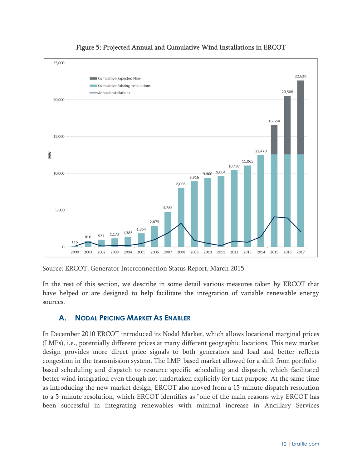



Source: ERCOT, Generator Interconnection Status Report, March 2015

In the rest of this section, we describe in some detail various measures taken by ERCOT that have helped or are designed to help facilitate the integration of variable renewable energy sources.

# **A. NODAL PRICING MARKET AS ENABLER**

In December 2010 ERCOT introduced its Nodal Market, which allows locational marginal prices (LMPs), i.e., potentially different prices at many different geographic locations. This new market design provides more direct price signals to both generators and load and better reflects congestion in the transmission system. The LMP-based market allowed for a shift from portfoliobased scheduling and dispatch to resource-specific scheduling and dispatch, which facilitated better wind integration even though not undertaken explicitly for that purpose. At the same time as introducing the new market design, ERCOT also moved from a 15-minute dispatch resolution to a 5-minute resolution, which ERCOT identifies as "one of the main reasons why ERCOT has been successful in integrating renewables with minimal increase in Ancillary Services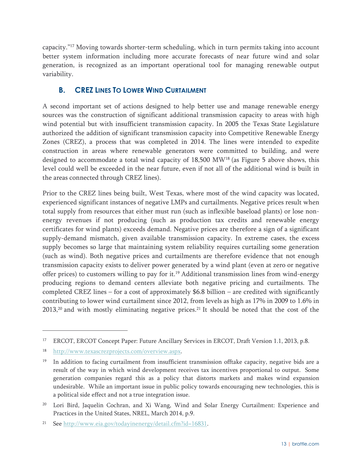capacity."17 Moving towards shorter-term scheduling, which in turn permits taking into account better system information including more accurate forecasts of near future wind and solar generation, is recognized as an important operational tool for managing renewable output variability.

#### **B. CREZ LINES TO LOWER WIND CURTAILMENT**

A second important set of actions designed to help better use and manage renewable energy sources was the construction of significant additional transmission capacity to areas with high wind potential but with insufficient transmission capacity. In 2005 the Texas State Legislature authorized the addition of significant transmission capacity into Competitive Renewable Energy Zones (CREZ), a process that was completed in 2014. The lines were intended to expedite construction in areas where renewable generators were committed to building, and were designed to accommodate a total wind capacity of 18,500 MW18 (as Figure 5 above shows, this level could well be exceeded in the near future, even if not all of the additional wind is built in the areas connected through CREZ lines).

Prior to the CREZ lines being built, West Texas, where most of the wind capacity was located, experienced significant instances of negative LMPs and curtailments. Negative prices result when total supply from resources that either must run (such as inflexible baseload plants) or lose nonenergy revenues if not producing (such as production tax credits and renewable energy certificates for wind plants) exceeds demand. Negative prices are therefore a sign of a significant supply-demand mismatch, given available transmission capacity. In extreme cases, the excess supply becomes so large that maintaining system reliability requires curtailing some generation (such as wind). Both negative prices and curtailments are therefore evidence that not enough transmission capacity exists to deliver power generated by a wind plant (even at zero or negative offer prices) to customers willing to pay for it.<sup>19</sup> Additional transmission lines from wind-energy producing regions to demand centers alleviate both negative pricing and curtailments. The completed CREZ lines – for a cost of approximately \$6.8 billion – are credited with significantly contributing to lower wind curtailment since 2012, from levels as high as 17% in 2009 to 1.6% in  $2013$ ,<sup>20</sup> and with mostly eliminating negative prices.<sup>21</sup> It should be noted that the cost of the

<sup>17</sup> ERCOT, ERCOT Concept Paper: Future Ancillary Services in ERCOT, Draft Version 1.1, 2013, p.8.

<sup>18</sup> http://www.texascrezprojects.com/overview.aspx.

 $19$  In addition to facing curtailment from insufficient transmission offtake capacity, negative bids are a result of the way in which wind development receives tax incentives proportional to output. Some generation companies regard this as a policy that distorts markets and makes wind expansion undesirable. While an important issue in public policy towards encouraging new technologies, this is a political side effect and not a true integration issue.

<sup>&</sup>lt;sup>20</sup> Lori Bird, Jaquelin Cochran, and Xi Wang, Wind and Solar Energy Curtailment: Experience and Practices in the United States, NREL, March 2014, p.9.

<sup>21</sup> See http://www.eia.gov/todayinenergy/detail.cfm?id=16831.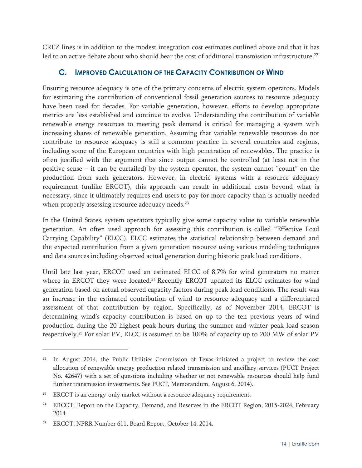CREZ lines is in addition to the modest integration cost estimates outlined above and that it has led to an active debate about who should bear the cost of additional transmission infrastructure.<sup>22</sup>

#### **C. IMPROVED CALCULATION OF THE CAPACITY CONTRIBUTION OF WIND**

Ensuring resource adequacy is one of the primary concerns of electric system operators. Models for estimating the contribution of conventional fossil generation sources to resource adequacy have been used for decades. For variable generation, however, efforts to develop appropriate metrics are less established and continue to evolve. Understanding the contribution of variable renewable energy resources to meeting peak demand is critical for managing a system with increasing shares of renewable generation. Assuming that variable renewable resources do not contribute to resource adequacy is still a common practice in several countries and regions, including some of the European countries with high penetration of renewables. The practice is often justified with the argument that since output cannot be controlled (at least not in the positive sense – it can be curtailed) by the system operator, the system cannot "count" on the production from such generators. However, in electric systems with a resource adequacy requirement (unlike ERCOT), this approach can result in additional costs beyond what is necessary, since it ultimately requires end users to pay for more capacity than is actually needed when properly assessing resource adequacy needs.<sup>23</sup>

In the United States, system operators typically give some capacity value to variable renewable generation. An often used approach for assessing this contribution is called "Effective Load Carrying Capability" (ELCC). ELCC estimates the statistical relationship between demand and the expected contribution from a given generation resource using various modeling techniques and data sources including observed actual generation during historic peak load conditions.

Until late last year, ERCOT used an estimated ELCC of 8.7% for wind generators no matter where in ERCOT they were located.<sup>24</sup> Recently ERCOT updated its ELCC estimates for wind generation based on actual observed capacity factors during peak load conditions. The result was an increase in the estimated contribution of wind to resource adequacy and a differentiated assessment of that contribution by region. Specifically, as of November 2014, ERCOT is determining wind's capacity contribution is based on up to the ten previous years of wind production during the 20 highest peak hours during the summer and winter peak load season respectively.25 For solar PV, ELCC is assumed to be 100% of capacity up to 200 MW of solar PV

<sup>22</sup> In August 2014, the Public Utilities Commission of Texas initiated a project to review the cost allocation of renewable energy production related transmission and ancillary services (PUCT Project No. 42647) with a set of questions including whether or not renewable resources should help fund further transmission investments. See PUCT, Memorandum, August 6, 2014).

<sup>&</sup>lt;sup>23</sup> ERCOT is an energy-only market without a resource adequacy requirement.

<sup>&</sup>lt;sup>24</sup> ERCOT, Report on the Capacity, Demand, and Reserves in the ERCOT Region, 2015-2024, February 2014.

<sup>25</sup> ERCOT, NPRR Number 611, Board Report, October 14, 2014.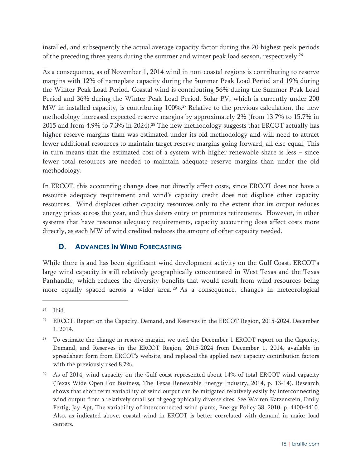installed, and subsequently the actual average capacity factor during the 20 highest peak periods of the preceding three years during the summer and winter peak load season, respectively.<sup>26</sup>

As a consequence, as of November 1, 2014 wind in non-coastal regions is contributing to reserve margins with 12% of nameplate capacity during the Summer Peak Load Period and 19% during the Winter Peak Load Period. Coastal wind is contributing 56% during the Summer Peak Load Period and 36% during the Winter Peak Load Period. Solar PV, which is currently under 200 MW in installed capacity, is contributing 100%.<sup>27</sup> Relative to the previous calculation, the new methodology increased expected reserve margins by approximately 2% (from 13.7% to 15.7% in 2015 and from 4.9% to 7.3% in 2024).28 The new methodology suggests that ERCOT actually has higher reserve margins than was estimated under its old methodology and will need to attract fewer additional resources to maintain target reserve margins going forward, all else equal. This in turn means that the estimated cost of a system with higher renewable share is less – since fewer total resources are needed to maintain adequate reserve margins than under the old methodology.

In ERCOT, this accounting change does not directly affect costs, since ERCOT does not have a resource adequacy requirement and wind's capacity credit does not displace other capacity resources. Wind displaces other capacity resources only to the extent that its output reduces energy prices across the year, and thus deters entry or promotes retirements. However, in other systems that have resource adequacy requirements, capacity accounting does affect costs more directly, as each MW of wind credited reduces the amount of other capacity needed.

#### **D. ADVANCES IN WIND FORECASTING**

While there is and has been significant wind development activity on the Gulf Coast, ERCOT's large wind capacity is still relatively geographically concentrated in West Texas and the Texas Panhandle, which reduces the diversity benefits that would result from wind resources being more equally spaced across a wider area.<sup>29</sup> As a consequence, changes in meteorological

-

<sup>26</sup> Ibid.

<sup>&</sup>lt;sup>27</sup> ERCOT, Report on the Capacity, Demand, and Reserves in the ERCOT Region, 2015-2024, December 1, 2014.

<sup>&</sup>lt;sup>28</sup> To estimate the change in reserve margin, we used the December 1 ERCOT report on the Capacity, Demand, and Reserves in the ERCOT Region, 2015-2024 from December 1, 2014, available in spreadsheet form from ERCOT's website, and replaced the applied new capacity contribution factors with the previously used 8.7%.

<sup>29</sup> As of 2014, wind capacity on the Gulf coast represented about 14% of total ERCOT wind capacity (Texas Wide Open For Business, The Texas Renewable Energy Industry, 2014, p. 13-14). Research shows that short term variability of wind output can be mitigated relatively easily by interconnecting wind output from a relatively small set of geographically diverse sites. See Warren Katzenstein, Emily Fertig, Jay Apt, The variability of interconnected wind plants, Energy Policy 38, 2010, p. 4400-4410. Also, as indicated above, coastal wind in ERCOT is better correlated with demand in major load centers.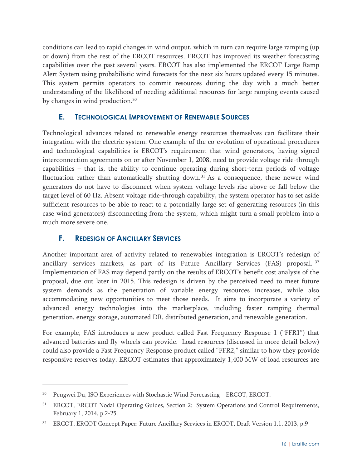conditions can lead to rapid changes in wind output, which in turn can require large ramping (up or down) from the rest of the ERCOT resources. ERCOT has improved its weather forecasting capabilities over the past several years. ERCOT has also implemented the ERCOT Large Ramp Alert System using probabilistic wind forecasts for the next six hours updated every 15 minutes. This system permits operators to commit resources during the day with a much better understanding of the likelihood of needing additional resources for large ramping events caused by changes in wind production.<sup>30</sup>

#### **E. TECHNOLOGICAL IMPROVEMENT OF RENEWABLE SOURCES**

Technological advances related to renewable energy resources themselves can facilitate their integration with the electric system. One example of the co-evolution of operational procedures and technological capabilities is ERCOT's requirement that wind generators, having signed interconnection agreements on or after November 1, 2008, need to provide voltage ride-through capabilities – that is, the ability to continue operating during short-term periods of voltage fluctuation rather than automatically shutting down.<sup>31</sup> As a consequence, these newer wind generators do not have to disconnect when system voltage levels rise above or fall below the target level of 60 Hz. Absent voltage ride-through capability, the system operator has to set aside sufficient resources to be able to react to a potentially large set of generating resources (in this case wind generators) disconnecting from the system, which might turn a small problem into a much more severe one.

#### **F. REDESIGN OF ANCILLARY SERVICES**

 $\overline{a}$ 

Another important area of activity related to renewables integration is ERCOT's redesign of ancillary services markets, as part of its Future Ancillary Services (FAS) proposal. <sup>32</sup> Implementation of FAS may depend partly on the results of ERCOT's benefit cost analysis of the proposal, due out later in 2015. This redesign is driven by the perceived need to meet future system demands as the penetration of variable energy resources increases, while also accommodating new opportunities to meet those needs. It aims to incorporate a variety of advanced energy technologies into the marketplace, including faster ramping thermal generation, energy storage, automated DR, distributed generation, and renewable generation.

For example, FAS introduces a new product called Fast Frequency Response 1 ("FFR1") that advanced batteries and fly-wheels can provide. Load resources (discussed in more detail below) could also provide a Fast Frequency Response product called "FFR2," similar to how they provide responsive reserves today. ERCOT estimates that approximately 1,400 MW of load resources are

<sup>30</sup> Pengwei Du, ISO Experiences with Stochastic Wind Forecasting – ERCOT, ERCOT.

<sup>31</sup> ERCOT, ERCOT Nodal Operating Guides, Section 2: System Operations and Control Requirements, February 1, 2014, p.2-25.

<sup>32</sup> ERCOT, ERCOT Concept Paper: Future Ancillary Services in ERCOT, Draft Version 1.1, 2013, p.9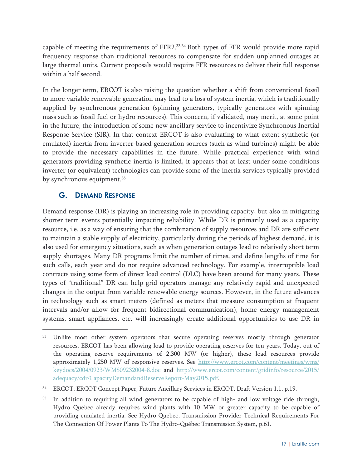capable of meeting the requirements of FFR2.33,34 Both types of FFR would provide more rapid frequency response than traditional resources to compensate for sudden unplanned outages at large thermal units. Current proposals would require FFR resources to deliver their full response within a half second.

In the longer term, ERCOT is also raising the question whether a shift from conventional fossil to more variable renewable generation may lead to a loss of system inertia, which is traditionally supplied by synchronous generation (spinning generators, typically generators with spinning mass such as fossil fuel or hydro resources). This concern, if validated, may merit, at some point in the future, the introduction of some new ancillary service to incentivize Synchronous Inertial Response Service (SIR). In that context ERCOT is also evaluating to what extent synthetic (or emulated) inertia from inverter-based generation sources (such as wind turbines) might be able to provide the necessary capabilities in the future. While practical experience with wind generators providing synthetic inertia is limited, it appears that at least under some conditions inverter (or equivalent) technologies can provide some of the inertia services typically provided by synchronous equipment.<sup>35</sup>

#### **G. DEMAND RESPONSE**

 $\overline{a}$ 

Demand response (DR) is playing an increasing role in providing capacity, but also in mitigating shorter term events potentially impacting reliability. While DR is primarily used as a capacity resource, i.e. as a way of ensuring that the combination of supply resources and DR are sufficient to maintain a stable supply of electricity, particularly during the periods of highest demand, it is also used for emergency situations, such as when generation outages lead to relatively short term supply shortages. Many DR programs limit the number of times, and define lengths of time for such calls, each year and do not require advanced technology. For example, interruptible load contracts using some form of direct load control (DLC) have been around for many years. These types of "traditional" DR can help grid operators manage any relatively rapid and unexpected changes in the output from variable renewable energy sources. However, in the future advances in technology such as smart meters (defined as meters that measure consumption at frequent intervals and/or allow for frequent bidirectional communication), home energy management systems, smart appliances, etc. will increasingly create additional opportunities to use DR in

Unlike most other system operators that secure operating reserves mostly through generator resources, ERCOT has been allowing load to provide operating reserves for ten years. Today, out of the operating reserve requirements of 2,300 MW (or higher), these load resources provide approximately 1,250 MW of responsive reserves. See http://www.ercot.com/content/meetings/wms/ keydocs/2004/0923/WMS09232004-8.doc and http://www.ercot.com/content/gridinfo/resource/2015/ adequacy/cdr/CapacityDemandandReserveReport-May2015.pdf.

<sup>34</sup> ERCOT, ERCOT Concept Paper, Future Ancillary Services in ERCOT, Draft Version 1.1, p.19.

<sup>&</sup>lt;sup>35</sup> In addition to requiring all wind generators to be capable of high- and low voltage ride through, Hydro Quebec already requires wind plants with 10 MW or greater capacity to be capable of providing emulated inertia. See Hydro Quebec, Transmission Provider Technical Requirements For The Connection Of Power Plants To The Hydro-Québec Transmission System, p.61.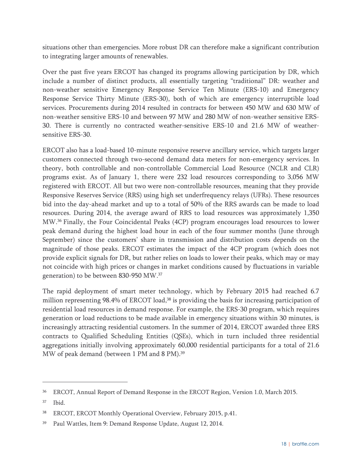situations other than emergencies. More robust DR can therefore make a significant contribution to integrating larger amounts of renewables.

Over the past five years ERCOT has changed its programs allowing participation by DR, which include a number of distinct products, all essentially targeting "traditional" DR: weather and non-weather sensitive Emergency Response Service Ten Minute (ERS-10) and Emergency Response Service Thirty Minute (ERS-30), both of which are emergency interruptible load services. Procurements during 2014 resulted in contracts for between 450 MW and 630 MW of non-weather sensitive ERS-10 and between 97 MW and 280 MW of non-weather sensitive ERS-30. There is currently no contracted weather-sensitive ERS-10 and 21.6 MW of weathersensitive ERS-30.

ERCOT also has a load-based 10-minute responsive reserve ancillary service, which targets larger customers connected through two-second demand data meters for non-emergency services. In theory, both controllable and non-controllable Commercial Load Resource (NCLR and CLR) programs exist. As of January 1, there were 232 load resources corresponding to 3,056 MW registered with ERCOT. All but two were non-controllable resources, meaning that they provide Responsive Reserves Service (RRS) using high set underfrequency relays (UFRs). These resources bid into the day-ahead market and up to a total of 50% of the RRS awards can be made to load resources. During 2014, the average award of RRS to load resources was approximately 1,350 MW.36 Finally, the Four Coincidental Peaks (4CP) program encourages load resources to lower peak demand during the highest load hour in each of the four summer months (June through September) since the customers' share in transmission and distribution costs depends on the magnitude of those peaks. ERCOT estimates the impact of the 4CP program (which does not provide explicit signals for DR, but rather relies on loads to lower their peaks, which may or may not coincide with high prices or changes in market conditions caused by fluctuations in variable generation) to be between 830-950 MW.37

The rapid deployment of smart meter technology, which by February 2015 had reached 6.7 million representing 98.4% of ERCOT load,<sup>38</sup> is providing the basis for increasing participation of residential load resources in demand response. For example, the ERS-30 program, which requires generation or load reductions to be made available in emergency situations within 30 minutes, is increasingly attracting residential customers. In the summer of 2014, ERCOT awarded three ERS contracts to Qualified Scheduling Entities (QSEs), which in turn included three residential aggregations initially involving approximately 60,000 residential participants for a total of 21.6 MW of peak demand (between 1 PM and 8 PM).<sup>39</sup>

<sup>36</sup> ERCOT, Annual Report of Demand Response in the ERCOT Region, Version 1.0, March 2015.

<sup>37</sup> Ibid.

<sup>38</sup> ERCOT, ERCOT Monthly Operational Overview, February 2015, p.41.

<sup>39</sup> Paul Wattles, Item 9: Demand Response Update, August 12, 2014.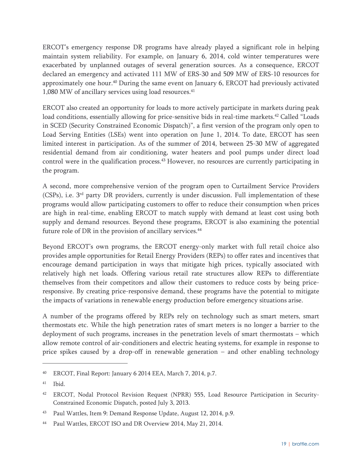ERCOT's emergency response DR programs have already played a significant role in helping maintain system reliability. For example, on January 6, 2014, cold winter temperatures were exacerbated by unplanned outages of several generation sources. As a consequence, ERCOT declared an emergency and activated 111 MW of ERS-30 and 509 MW of ERS-10 resources for approximately one hour. $40$  During the same event on January 6, ERCOT had previously activated 1,080 MW of ancillary services using load resources.<sup>41</sup>

ERCOT also created an opportunity for loads to more actively participate in markets during peak load conditions, essentially allowing for price-sensitive bids in real-time markets.<sup>42</sup> Called "Loads" in SCED (Security Constrained Economic Dispatch)", a first version of the program only open to Load Serving Entities (LSEs) went into operation on June 1, 2014. To date, ERCOT has seen limited interest in participation. As of the summer of 2014, between 25-30 MW of aggregated residential demand from air conditioning, water heaters and pool pumps under direct load control were in the qualification process.43 However, no resources are currently participating in the program.

A second, more comprehensive version of the program open to Curtailment Service Providers (CSPs), i.e. 3rd party DR providers, currently is under discussion. Full implementation of these programs would allow participating customers to offer to reduce their consumption when prices are high in real-time, enabling ERCOT to match supply with demand at least cost using both supply and demand resources. Beyond these programs, ERCOT is also examining the potential future role of DR in the provision of ancillary services.<sup>44</sup>

Beyond ERCOT's own programs, the ERCOT energy-only market with full retail choice also provides ample opportunities for Retail Energy Providers (REPs) to offer rates and incentives that encourage demand participation in ways that mitigate high prices, typically associated with relatively high net loads. Offering various retail rate structures allow REPs to differentiate themselves from their competitors and allow their customers to reduce costs by being priceresponsive. By creating price-responsive demand, these programs have the potential to mitigate the impacts of variations in renewable energy production before emergency situations arise.

A number of the programs offered by REPs rely on technology such as smart meters, smart thermostats etc. While the high penetration rates of smart meters is no longer a barrier to the deployment of such programs, increases in the penetration levels of smart thermostats – which allow remote control of air-conditioners and electric heating systems, for example in response to price spikes caused by a drop-off in renewable generation – and other enabling technology

<sup>40</sup> ERCOT, Final Report: January 6 2014 EEA, March 7, 2014, p.7.

<sup>41</sup> Ibid.

<sup>42</sup> ERCOT, Nodal Protocol Revision Request (NPRR) 555, Load Resource Participation in Security-Constrained Economic Dispatch, posted July 3, 2013.

<sup>43</sup> Paul Wattles, Item 9: Demand Response Update, August 12, 2014, p.9.

<sup>44</sup> Paul Wattles, ERCOT ISO and DR Overview 2014, May 21, 2014.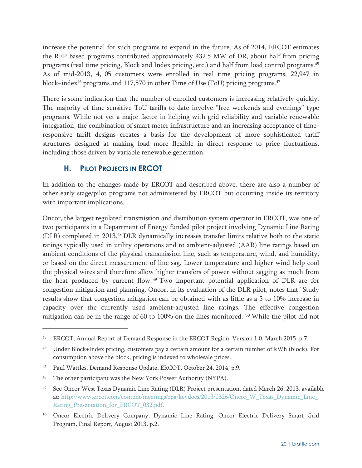increase the potential for such programs to expand in the future. As of 2014, ERCOT estimates the REP based programs contributed approximately 432.5 MW of DR, about half from pricing programs (real time pricing, Block and Index pricing, etc.) and half from load control programs.45 As of mid-2013, 4,105 customers were enrolled in real time pricing programs, 22,947 in block+index<sup>46</sup> programs and 117,570 in other Time of Use (ToU) pricing programs.<sup>47</sup>

There is some indication that the number of enrolled customers is increasing relatively quickly. The majority of time-sensitive ToU tariffs to-date involve "free weekends and evenings" type programs. While not yet a major factor in helping with grid reliability and variable renewable integration, the combination of smart meter infrastructure and an increasing acceptance of timeresponsive tariff designs creates a basis for the development of more sophisticated tariff structures designed at making load more flexible in direct response to price fluctuations, including those driven by variable renewable generation.

#### **H. PILOT PROJECTS IN ERCOT**

In addition to the changes made by ERCOT and described above, there are also a number of other early stage/pilot programs not administered by ERCOT but occurring inside its territory with important implications.

Oncor, the largest regulated transmission and distribution system operator in ERCOT, was one of two participants in a Department of Energy funded pilot project involving Dynamic Line Rating (DLR) completed in 2013.48 DLR dynamically increases transfer limits relative both to the static ratings typically used in utility operations and to ambient-adjusted (AAR) line ratings based on ambient conditions of the physical transmission line, such as temperature, wind, and humidity, or based on the direct measurement of line sag. Lower temperature and higher wind help cool the physical wires and therefore allow higher transfers of power without sagging as much from the heat produced by current flow. 49 Two important potential application of DLR are for congestion mitigation and planning. Oncor, in its evaluation of the DLR pilot, notes that "Study results show that congestion mitigation can be obtained with as little as a 5 to 10% increase in capacity over the currently used ambient-adjusted line ratings. The effective congestion mitigation can be in the range of 60 to 100% on the lines monitored."50 While the pilot did not

- 47 Paul Wattles, Demand Response Update, ERCOT, October 24, 2014, p.9.
- The other participant was the New York Power Authority (NYPA).

<sup>45</sup> ERCOT, Annual Report of Demand Response in the ERCOT Region, Version 1.0, March 2015, p.7.

<sup>46</sup> Under Block+Index pricing, customers pay a certain amount for a certain number of kWh (block). For consumption above the block, pricing is indexed to wholesale prices.

<sup>49</sup> See Oncor West Texas Dynamic Line Rating (DLR) Project presentation, dated March 26, 2013, available at: http://www.ercot.com/content/meetings/rpg/keydocs/2013/0326/Oncor\_W\_Texas\_Dynamic\_Line Rating\_Presentation\_for\_ERCOT\_032.pdf.

<sup>50</sup> Oncor Electric Delivery Company, Dynamic Line Rating, Oncor Electric Delivery Smart Grid Program, Final Report, August 2013, p.2.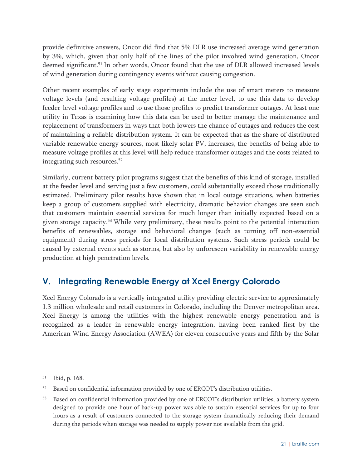provide definitive answers, Oncor did find that 5% DLR use increased average wind generation by 3%, which, given that only half of the lines of the pilot involved wind generation, Oncor deemed significant.<sup>51</sup> In other words, Oncor found that the use of DLR allowed increased levels of wind generation during contingency events without causing congestion.

Other recent examples of early stage experiments include the use of smart meters to measure voltage levels (and resulting voltage profiles) at the meter level, to use this data to develop feeder-level voltage profiles and to use those profiles to predict transformer outages. At least one utility in Texas is examining how this data can be used to better manage the maintenance and replacement of transformers in ways that both lowers the chance of outages and reduces the cost of maintaining a reliable distribution system. It can be expected that as the share of distributed variable renewable energy sources, most likely solar PV, increases, the benefits of being able to measure voltage profiles at this level will help reduce transformer outages and the costs related to integrating such resources.<sup>52</sup>

Similarly, current battery pilot programs suggest that the benefits of this kind of storage, installed at the feeder level and serving just a few customers, could substantially exceed those traditionally estimated. Preliminary pilot results have shown that in local outage situations, when batteries keep a group of customers supplied with electricity, dramatic behavior changes are seen such that customers maintain essential services for much longer than initially expected based on a given storage capacity.53 While very preliminary, these results point to the potential interaction benefits of renewables, storage and behavioral changes (such as turning off non-essential equipment) during stress periods for local distribution systems. Such stress periods could be caused by external events such as storms, but also by unforeseen variability in renewable energy production at high penetration levels.

# **V. Integrating Renewable Energy at Xcel Energy Colorado**

Xcel Energy Colorado is a vertically integrated utility providing electric service to approximately 1.3 million wholesale and retail customers in Colorado, including the Denver metropolitan area. Xcel Energy is among the utilities with the highest renewable energy penetration and is recognized as a leader in renewable energy integration, having been ranked first by the American Wind Energy Association (AWEA) for eleven consecutive years and fifth by the Solar

<sup>51</sup> Ibid, p. 168.

<sup>&</sup>lt;sup>52</sup> Based on confidential information provided by one of ERCOT's distribution utilities.

<sup>53</sup> Based on confidential information provided by one of ERCOT's distribution utilities, a battery system designed to provide one hour of back-up power was able to sustain essential services for up to four hours as a result of customers connected to the storage system dramatically reducing their demand during the periods when storage was needed to supply power not available from the grid.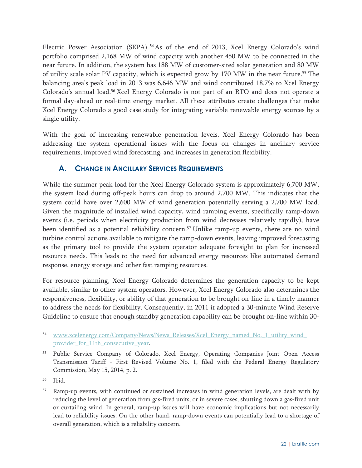Electric Power Association (SEPA).<sup>54</sup>As of the end of 2013, Xcel Energy Colorado's wind portfolio comprised 2,168 MW of wind capacity with another 450 MW to be connected in the near future. In addition, the system has 188 MW of customer-sited solar generation and 80 MW of utility scale solar PV capacity, which is expected grow by 170 MW in the near future.55 The balancing area's peak load in 2013 was 6,646 MW and wind contributed 18.7% to Xcel Energy Colorado's annual load.56 Xcel Energy Colorado is not part of an RTO and does not operate a formal day-ahead or real-time energy market. All these attributes create challenges that make Xcel Energy Colorado a good case study for integrating variable renewable energy sources by a single utility.

With the goal of increasing renewable penetration levels, Xcel Energy Colorado has been addressing the system operational issues with the focus on changes in ancillary service requirements, improved wind forecasting, and increases in generation flexibility.

#### **A. CHANGE IN ANCILLARY SERVICES REQUIREMENTS**

While the summer peak load for the Xcel Energy Colorado system is approximately 6,700 MW, the system load during off-peak hours can drop to around 2,700 MW. This indicates that the system could have over 2,600 MW of wind generation potentially serving a 2,700 MW load. Given the magnitude of installed wind capacity, wind ramping events, specifically ramp-down events (i.e. periods when electricity production from wind decreases relatively rapidly), have been identified as a potential reliability concern.<sup>57</sup> Unlike ramp-up events, there are no wind turbine control actions available to mitigate the ramp-down events, leaving improved forecasting as the primary tool to provide the system operator adequate foresight to plan for increased resource needs. This leads to the need for advanced energy resources like automated demand response, energy storage and other fast ramping resources.

For resource planning, Xcel Energy Colorado determines the generation capacity to be kept available, similar to other system operators. However, Xcel Energy Colorado also determines the responsiveness, flexibility, or ability of that generation to be brought on-line in a timely manner to address the needs for flexibility. Consequently, in 2011 it adopted a 30-minute Wind Reserve Guideline to ensure that enough standby generation capability can be brought on-line within 30-

<sup>54</sup> www.xcelenergy.com/Company/News/News Releases/Xcel Energy named No. 1 utility wind provider for 11th consecutive year.

<sup>55</sup> Public Service Company of Colorado, Xcel Energy, Operating Companies Joint Open Access Transmission Tariff - First Revised Volume No. 1, filed with the Federal Energy Regulatory Commission, May 15, 2014, p. 2.

<sup>56</sup> Ibid.

<sup>57</sup> Ramp-up events, with continued or sustained increases in wind generation levels, are dealt with by reducing the level of generation from gas-fired units, or in severe cases, shutting down a gas-fired unit or curtailing wind. In general, ramp-up issues will have economic implications but not necessarily lead to reliability issues. On the other hand, ramp-down events can potentially lead to a shortage of overall generation, which is a reliability concern.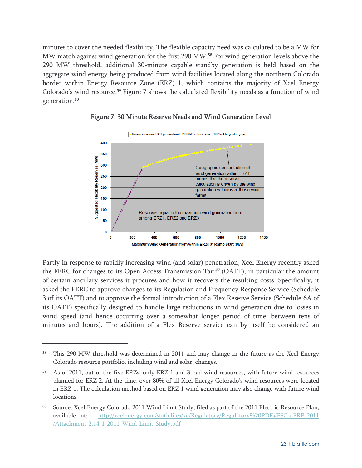minutes to cover the needed flexibility. The flexible capacity need was calculated to be a MW for MW match against wind generation for the first 290 MW.58 For wind generation levels above the 290 MW threshold, additional 30-minute capable standby generation is held based on the aggregate wind energy being produced from wind facilities located along the northern Colorado border within Energy Resource Zone (ERZ) 1, which contains the majority of Xcel Energy Colorado's wind resource.59 Figure 7 shows the calculated flexibility needs as a function of wind generation.<sup>60</sup>



#### Figure 7: 30 Minute Reserve Needs and Wind Generation Level

Partly in response to rapidly increasing wind (and solar) penetration, Xcel Energy recently asked the FERC for changes to its Open Access Transmission Tariff (OATT), in particular the amount of certain ancillary services it procures and how it recovers the resulting costs. Specifically, it asked the FERC to approve changes to its Regulation and Frequency Response Service (Schedule 3 of its OATT) and to approve the formal introduction of a Flex Reserve Service (Schedule 6A of its OATT) specifically designed to handle large reductions in wind generation due to losses in wind speed (and hence occurring over a somewhat longer period of time, between tens of minutes and hours). The addition of a Flex Reserve service can by itself be considered an

-

<sup>&</sup>lt;sup>58</sup> This 290 MW threshold was determined in 2011 and may change in the future as the Xcel Energy Colorado resource portfolio, including wind and solar, changes.

<sup>59</sup> As of 2011, out of the five ERZs, only ERZ 1 and 3 had wind resources, with future wind resources planned for ERZ 2. At the time, over 80% of all Xcel Energy Colorado's wind resources were located in ERZ 1. The calculation method based on ERZ 1 wind generation may also change with future wind locations.

<sup>60</sup> Source: Xcel Energy Colorado 2011 Wind Limit Study, filed as part of the 2011 Electric Resource Plan, available at: http://xcelenergy.com/staticfiles/xe/Regulatory/Regulatory%20PDFs/PSCo-ERP-2011 /Attachment-2.14-1-2011-Wind-Limit-Study.pdf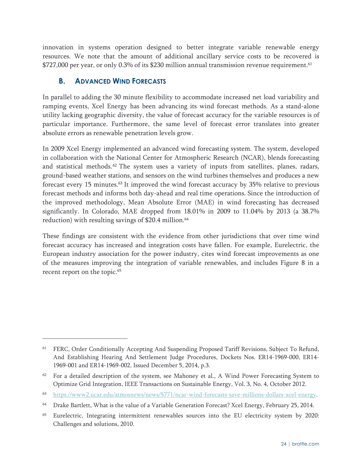innovation in systems operation designed to better integrate variable renewable energy resources. We note that the amount of additional ancillary service costs to be recovered is \$727,000 per year, or only 0.3% of its \$230 million annual transmission revenue requirement.<sup>61</sup>

#### **B. ADVANCED WIND FORECASTS**

-

In parallel to adding the 30 minute flexibility to accommodate increased net load variability and ramping events, Xcel Energy has been advancing its wind forecast methods. As a stand-alone utility lacking geographic diversity, the value of forecast accuracy for the variable resources is of particular importance. Furthermore, the same level of forecast error translates into greater absolute errors as renewable penetration levels grow.

In 2009 Xcel Energy implemented an advanced wind forecasting system. The system, developed in collaboration with the National Center for Atmospheric Research (NCAR), blends forecasting and statistical methods.<sup>62</sup> The system uses a variety of inputs from satellites, planes, radars, ground-based weather stations, and sensors on the wind turbines themselves and produces a new forecast every 15 minutes.63 It improved the wind forecast accuracy by 35% relative to previous forecast methods and informs both day-ahead and real time operations. Since the introduction of the improved methodology, Mean Absolute Error (MAE) in wind forecasting has decreased significantly. In Colorado, MAE dropped from 18.01% in 2009 to 11.04% by 2013 (a 38.7% reduction) with resulting savings of \$20.4 million.<sup>64</sup>

These findings are consistent with the evidence from other jurisdictions that over time wind forecast accuracy has increased and integration costs have fallen. For example, Eurelectric, the European industry association for the power industry, cites wind forecast improvements as one of the measures improving the integration of variable renewables, and includes Figure 8 in a recent report on the topic.<sup>65</sup>

<sup>&</sup>lt;sup>61</sup> FERC, Order Conditionally Accepting And Suspending Proposed Tariff Revisions, Subject To Refund, And Establishing Hearing And Settlement Judge Procedures, Dockets Nos. ER14-1969-000, ER14- 1969-001 and ER14-1969-002, Issued December 5, 2014, p.3.

 $62$  For a detailed description of the system, see Mahoney et al., A Wind Power Forecasting System to Optimize Grid Integration, IEEE Transactions on Sustainable Energy, Vol. 3, No. 4, October 2012.

<sup>63</sup> https://www2.ucar.edu/atmosnews/news/5771/ncar-wind-forecasts-save-millions-dollars-xcel-energy.

<sup>64</sup> Drake Bartlett, What is the value of a Variable Generation Forecast? Xcel Energy, February 25, 2014.

<sup>65</sup> Eurelectric, Integrating intermittent renewables sources into the EU electricity system by 2020: Challenges and solutions, 2010.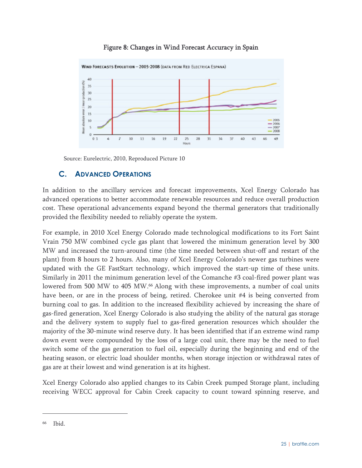#### Figure 8: Changes in Wind Forecast Accuracy in Spain



Source: Eurelectric, 2010, Reproduced Picture 10

#### **C. ADVANCED OPERATIONS**

In addition to the ancillary services and forecast improvements, Xcel Energy Colorado has advanced operations to better accommodate renewable resources and reduce overall production cost. These operational advancements expand beyond the thermal generators that traditionally provided the flexibility needed to reliably operate the system.

For example, in 2010 Xcel Energy Colorado made technological modifications to its Fort Saint Vrain 750 MW combined cycle gas plant that lowered the minimum generation level by 300 MW and increased the turn-around time (the time needed between shut-off and restart of the plant) from 8 hours to 2 hours. Also, many of Xcel Energy Colorado's newer gas turbines were updated with the GE FastStart technology, which improved the start-up time of these units. Similarly in 2011 the minimum generation level of the Comanche #3 coal-fired power plant was lowered from 500 MW to 405 MW.<sup>66</sup> Along with these improvements, a number of coal units have been, or are in the process of being, retired. Cherokee unit #4 is being converted from burning coal to gas. In addition to the increased flexibility achieved by increasing the share of gas-fired generation, Xcel Energy Colorado is also studying the ability of the natural gas storage and the delivery system to supply fuel to gas-fired generation resources which shoulder the majority of the 30-minute wind reserve duty. It has been identified that if an extreme wind ramp down event were compounded by the loss of a large coal unit, there may be the need to fuel switch some of the gas generation to fuel oil, especially during the beginning and end of the heating season, or electric load shoulder months, when storage injection or withdrawal rates of gas are at their lowest and wind generation is at its highest.

Xcel Energy Colorado also applied changes to its Cabin Creek pumped Storage plant, including receiving WECC approval for Cabin Creek capacity to count toward spinning reserve, and

<sup>66</sup> Ibid.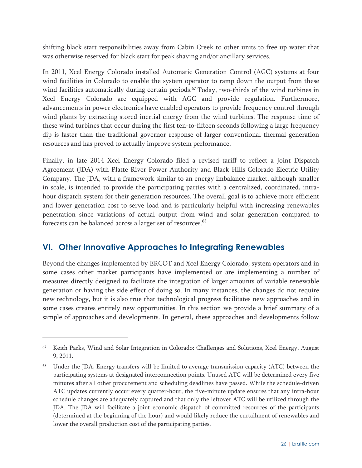shifting black start responsibilities away from Cabin Creek to other units to free up water that was otherwise reserved for black start for peak shaving and/or ancillary services.

In 2011, Xcel Energy Colorado installed Automatic Generation Control (AGC) systems at four wind facilities in Colorado to enable the system operator to ramp down the output from these wind facilities automatically during certain periods.<sup>67</sup> Today, two-thirds of the wind turbines in Xcel Energy Colorado are equipped with AGC and provide regulation. Furthermore, advancements in power electronics have enabled operators to provide frequency control through wind plants by extracting stored inertial energy from the wind turbines. The response time of these wind turbines that occur during the first ten-to-fifteen seconds following a large frequency dip is faster than the traditional governor response of larger conventional thermal generation resources and has proved to actually improve system performance.

Finally, in late 2014 Xcel Energy Colorado filed a revised tariff to reflect a Joint Dispatch Agreement (JDA) with Platte River Power Authority and Black Hills Colorado Electric Utility Company. The JDA, with a framework similar to an energy imbalance market, although smaller in scale, is intended to provide the participating parties with a centralized, coordinated, intrahour dispatch system for their generation resources. The overall goal is to achieve more efficient and lower generation cost to serve load and is particularly helpful with increasing renewables penetration since variations of actual output from wind and solar generation compared to forecasts can be balanced across a larger set of resources. $^{68}$ 

# **VI. Other Innovative Approaches to Integrating Renewables**

 $\overline{a}$ 

Beyond the changes implemented by ERCOT and Xcel Energy Colorado, system operators and in some cases other market participants have implemented or are implementing a number of measures directly designed to facilitate the integration of larger amounts of variable renewable generation or having the side effect of doing so. In many instances, the changes do not require new technology, but it is also true that technological progress facilitates new approaches and in some cases creates entirely new opportunities. In this section we provide a brief summary of a sample of approaches and developments. In general, these approaches and developments follow

<sup>67</sup> Keith Parks, Wind and Solar Integration in Colorado: Challenges and Solutions, Xcel Energy, August 9, 2011.

<sup>68</sup> Under the JDA, Energy transfers will be limited to average transmission capacity (ATC) between the participating systems at designated interconnection points. Unused ATC will be determined every five minutes after all other procurement and scheduling deadlines have passed. While the schedule-driven ATC updates currently occur every quarter-hour, the five-minute update ensures that any intra-hour schedule changes are adequately captured and that only the leftover ATC will be utilized through the JDA. The JDA will facilitate a joint economic dispatch of committed resources of the participants (determined at the beginning of the hour) and would likely reduce the curtailment of renewables and lower the overall production cost of the participating parties.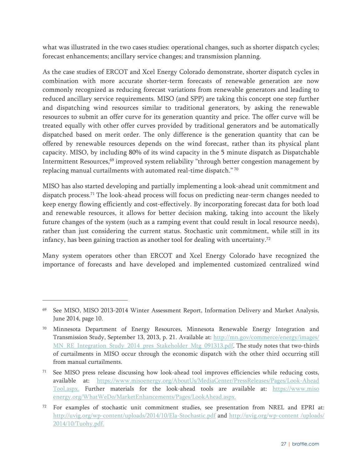what was illustrated in the two cases studies: operational changes, such as shorter dispatch cycles; forecast enhancements; ancillary service changes; and transmission planning.

As the case studies of ERCOT and Xcel Energy Colorado demonstrate, shorter dispatch cycles in combination with more accurate shorter-term forecasts of renewable generation are now commonly recognized as reducing forecast variations from renewable generators and leading to reduced ancillary service requirements. MISO (and SPP) are taking this concept one step further and dispatching wind resources similar to traditional generators, by asking the renewable resources to submit an offer curve for its generation quantity and price. The offer curve will be treated equally with other offer curves provided by traditional generators and be automatically dispatched based on merit order. The only difference is the generation quantity that can be offered by renewable resources depends on the wind forecast, rather than its physical plant capacity. MISO, by including 80% of its wind capacity in the 5 minute dispatch as Dispatchable Intermittent Resources,<sup>69</sup> improved system reliability "through better congestion management by replacing manual curtailments with automated real-time dispatch." 70

MISO has also started developing and partially implementing a look-ahead unit commitment and dispatch process.<sup>71</sup> The look-ahead process will focus on predicting near-term changes needed to keep energy flowing efficiently and cost-effectively. By incorporating forecast data for both load and renewable resources, it allows for better decision making, taking into account the likely future changes of the system (such as a ramping event that could result in local resource needs), rather than just considering the current status. Stochastic unit commitment, while still in its infancy, has been gaining traction as another tool for dealing with uncertainty.72

Many system operators other than ERCOT and Xcel Energy Colorado have recognized the importance of forecasts and have developed and implemented customized centralized wind

-

<sup>69</sup> See MISO, MISO 2013-2014 Winter Assessment Report, Information Delivery and Market Analysis, June 2014, page 10.

<sup>&</sup>lt;sup>70</sup> Minnesota Department of Energy Resources, Minnesota Renewable Energy Integration and Transmission Study, September 13, 2013, p. 21. Available at: http://mn.gov/commerce/energy/images/ MN\_RE\_Integration\_Study\_2014\_pres\_Stakeholder\_Mtg\_091313.pdf. The study notes that two-thirds of curtailments in MISO occur through the economic dispatch with the other third occurring still from manual curtailments.

<sup>&</sup>lt;sup>71</sup> See MISO press release discussing how look-ahead tool improves efficiencies while reducing costs, available at: https://www.misoenergy.org/AboutUs/MediaCenter/PressReleases/Pages/Look-Ahead Tool.aspx. Further materials for the look-ahead tools are available at: https://www.miso energy.org/WhatWeDo/MarketEnhancements/Pages/LookAhead.aspx.

<sup>72</sup> For examples of stochastic unit commitment studies, see presentation from NREL and EPRI at: http://uvig.org/wp-content/uploads/2014/10/Ela-Stochastic.pdf and http://uvig.org/wp-content /uploads/ 2014/10/Tuohy.pdf.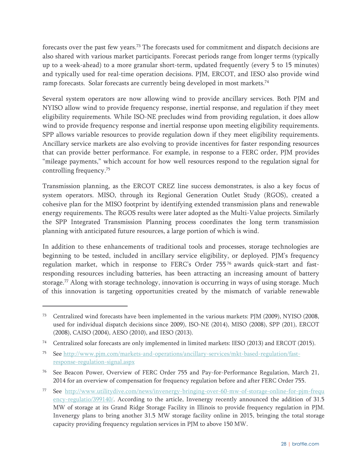forecasts over the past few years.73 The forecasts used for commitment and dispatch decisions are also shared with various market participants. Forecast periods range from longer terms (typically up to a week-ahead) to a more granular short-term, updated frequently (every 5 to 15 minutes) and typically used for real-time operation decisions. PJM, ERCOT, and IESO also provide wind ramp forecasts. Solar forecasts are currently being developed in most markets.<sup>74</sup>

Several system operators are now allowing wind to provide ancillary services. Both PJM and NYISO allow wind to provide frequency response, inertial response, and regulation if they meet eligibility requirements. While ISO-NE precludes wind from providing regulation, it does allow wind to provide frequency response and inertial response upon meeting eligibility requirements. SPP allows variable resources to provide regulation down if they meet eligibility requirements. Ancillary service markets are also evolving to provide incentives for faster responding resources that can provide better performance. For example, in response to a FERC order, PJM provides "mileage payments," which account for how well resources respond to the regulation signal for controlling frequency.75

Transmission planning, as the ERCOT CREZ line success demonstrates, is also a key focus of system operators. MISO, through its Regional Generation Outlet Study (RGOS), created a cohesive plan for the MISO footprint by identifying extended transmission plans and renewable energy requirements. The RGOS results were later adopted as the Multi-Value projects. Similarly the SPP Integrated Transmission Planning process coordinates the long term transmission planning with anticipated future resources, a large portion of which is wind.

In addition to these enhancements of traditional tools and processes, storage technologies are beginning to be tested, included in ancillary service eligibility, or deployed. PJM's frequency regulation market, which in response to FERC's Order  $755\%$  awards quick-start and fastresponding resources including batteries, has been attracting an increasing amount of battery storage.77 Along with storage technology, innovation is occurring in ways of using storage. Much of this innovation is targeting opportunities created by the mismatch of variable renewable

<sup>73</sup> Centralized wind forecasts have been implemented in the various markets: PJM (2009), NYISO (2008, used for individual dispatch decisions since 2009), ISO-NE (2014), MISO (2008), SPP (201), ERCOT (2008), CAISO (2004), AESO (2010), and IESO (2013).

<sup>74</sup> Centralized solar forecasts are only implemented in limited markets: IESO (2013) and ERCOT (2015).

<sup>75</sup> See http://www.pjm.com/markets-and-operations/ancillary-services/mkt-based-regulation/fastresponse-regulation-signal.aspx

<sup>76</sup> See Beacon Power, Overview of FERC Order 755 and Pay-for-Performance Regulation, March 21, 2014 for an overview of compensation for frequency regulation before and after FERC Order 755.

<sup>77</sup> See http://www.utilitydive.com/news/invenergy-bringing-over-60-mw-of-storage-online-for-pjm-frequ ency-regulatio/399140/. According to the article, Invenergy recently announced the addition of 31.5 MW of storage at its Grand Ridge Storage Facility in Illinois to provide frequency regulation in PJM. Invenergy plans to bring another 31.5 MW storage facility online in 2015, bringing the total storage capacity providing frequency regulation services in PJM to above 150 MW.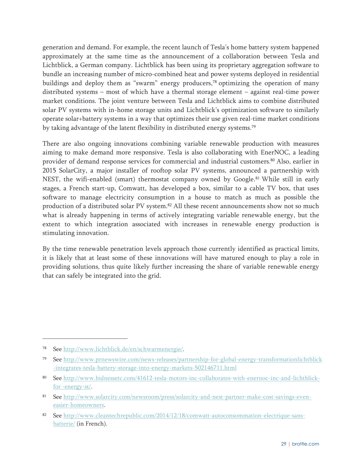generation and demand. For example, the recent launch of Tesla's home battery system happened approximately at the same time as the announcement of a collaboration between Tesla and Lichtblick, a German company. Lichtblick has been using its proprietary aggregation software to bundle an increasing number of micro-combined heat and power systems deployed in residential buildings and deploy them as "swarm" energy producers,<sup>78</sup> optimizing the operation of many distributed systems – most of which have a thermal storage element – against real-time power market conditions. The joint venture between Tesla and Lichtblick aims to combine distributed solar PV systems with in-home storage units and Lichtblick's optimization software to similarly operate solar+battery systems in a way that optimizes their use given real-time market conditions by taking advantage of the latent flexibility in distributed energy systems.<sup>79</sup>

There are also ongoing innovations combining variable renewable production with measures aiming to make demand more responsive. Tesla is also collaborating with EnerNOC, a leading provider of demand response services for commercial and industrial customers.80 Also, earlier in 2015 SolarCity, a major installer of rooftop solar PV systems, announced a partnership with NEST, the wifi-enabled (smart) thermostat company owned by Google.<sup>81</sup> While still in early stages, a French start-up, Comwatt, has developed a box, similar to a cable TV box, that uses software to manage electricity consumption in a house to match as much as possible the production of a distributed solar PV system.<sup>82</sup> All these recent announcements show not so much what is already happening in terms of actively integrating variable renewable energy, but the extent to which integration associated with increases in renewable energy production is stimulating innovation.

By the time renewable penetration levels approach those currently identified as practical limits, it is likely that at least some of these innovations will have matured enough to play a role in providing solutions, thus quite likely further increasing the share of variable renewable energy that can safely be integrated into the grid.

<sup>78</sup> See http://www.lichtblick.de/en/schwarmenergie/.

See http://www.prnewswire.com/news-releases/partnership-for-global-energy-transformationlichtblick -integrates-tesla-battery-storage-into-energy-markets-502146711.html

<sup>80</sup> See http://www.bidnessetc.com/41612-tesla-motors-inc-collaborates-with-enernoc-inc-and-lichtblickfor -energy-st/.

<sup>81</sup> See http://www.solarcity.com/newsroom/press/solarcity-and-nest-partner-make-cost-savings-eveneasier-homeowners.

See http://www.cleantechrepublic.com/2014/12/18/comwatt-autoconsommation-electrique-sansbatterie/ (in French).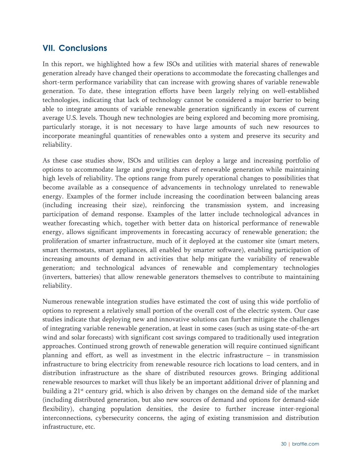# **VII. Conclusions**

In this report, we highlighted how a few ISOs and utilities with material shares of renewable generation already have changed their operations to accommodate the forecasting challenges and short-term performance variability that can increase with growing shares of variable renewable generation. To date, these integration efforts have been largely relying on well-established technologies, indicating that lack of technology cannot be considered a major barrier to being able to integrate amounts of variable renewable generation significantly in excess of current average U.S. levels. Though new technologies are being explored and becoming more promising, particularly storage, it is not necessary to have large amounts of such new resources to incorporate meaningful quantities of renewables onto a system and preserve its security and reliability.

As these case studies show, ISOs and utilities can deploy a large and increasing portfolio of options to accommodate large and growing shares of renewable generation while maintaining high levels of reliability. The options range from purely operational changes to possibilities that become available as a consequence of advancements in technology unrelated to renewable energy. Examples of the former include increasing the coordination between balancing areas (including increasing their size), reinforcing the transmission system, and increasing participation of demand response. Examples of the latter include technological advances in weather forecasting which, together with better data on historical performance of renewable energy, allows significant improvements in forecasting accuracy of renewable generation; the proliferation of smarter infrastructure, much of it deployed at the customer site (smart meters, smart thermostats, smart appliances, all enabled by smarter software), enabling participation of increasing amounts of demand in activities that help mitigate the variability of renewable generation; and technological advances of renewable and complementary technologies (inverters, batteries) that allow renewable generators themselves to contribute to maintaining reliability.

Numerous renewable integration studies have estimated the cost of using this wide portfolio of options to represent a relatively small portion of the overall cost of the electric system. Our case studies indicate that deploying new and innovative solutions can further mitigate the challenges of integrating variable renewable generation, at least in some cases (such as using state-of-the-art wind and solar forecasts) with significant cost savings compared to traditionally used integration approaches. Continued strong growth of renewable generation will require continued significant planning and effort, as well as investment in the electric infrastructure  $-$  in transmission infrastructure to bring electricity from renewable resource rich locations to load centers, and in distribution infrastructure as the share of distributed resources grows. Bringing additional renewable resources to market will thus likely be an important additional driver of planning and building a 21<sup>st</sup> century grid, which is also driven by changes on the demand side of the market (including distributed generation, but also new sources of demand and options for demand-side flexibility), changing population densities, the desire to further increase inter-regional interconnections, cybersecurity concerns, the aging of existing transmission and distribution infrastructure, etc.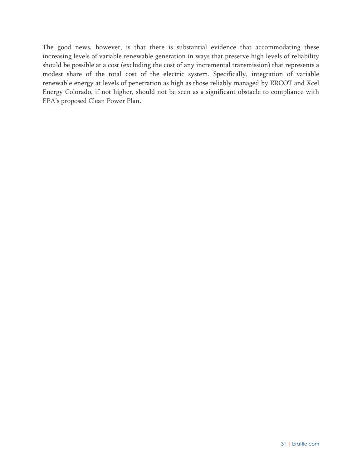The good news, however, is that there is substantial evidence that accommodating these increasing levels of variable renewable generation in ways that preserve high levels of reliability should be possible at a cost (excluding the cost of any incremental transmission) that represents a modest share of the total cost of the electric system. Specifically, integration of variable renewable energy at levels of penetration as high as those reliably managed by ERCOT and Xcel Energy Colorado, if not higher, should not be seen as a significant obstacle to compliance with EPA's proposed Clean Power Plan.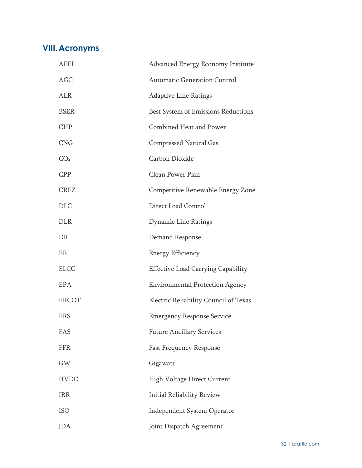# **VIII.Acronyms**

| <b>AEEI</b>     | Advanced Energy Economy Institute         |
|-----------------|-------------------------------------------|
| <b>AGC</b>      | <b>Automatic Generation Control</b>       |
| <b>ALR</b>      | <b>Adaptive Line Ratings</b>              |
| <b>BSER</b>     | Best System of Emissions Reductions       |
| <b>CHP</b>      | Combined Heat and Power                   |
| <b>CNG</b>      | <b>Compressed Natural Gas</b>             |
| CO <sub>2</sub> | Carbon Dioxide                            |
| <b>CPP</b>      | Clean Power Plan                          |
| <b>CREZ</b>     | Competitive Renewable Energy Zone         |
| <b>DLC</b>      | Direct Load Control                       |
| <b>DLR</b>      | Dynamic Line Ratings                      |
| DR              | Demand Response                           |
| EE              | <b>Energy Efficiency</b>                  |
| <b>ELCC</b>     | <b>Effective Load Carrying Capability</b> |
| EPA             | <b>Environmental Protection Agency</b>    |
| <b>ERCOT</b>    | Electric Reliability Council of Texas     |
| <b>ERS</b>      | <b>Emergency Response Service</b>         |
| FAS             | <b>Future Ancillary Services</b>          |
| <b>FFR</b>      | <b>Fast Frequency Response</b>            |
| GW              | Gigawatt                                  |
| <b>HVDC</b>     | <b>High Voltage Direct Current</b>        |
| <b>IRR</b>      | <b>Initial Reliability Review</b>         |
| <b>ISO</b>      | <b>Independent System Operator</b>        |
| JDA             | Joint Dispatch Agreement                  |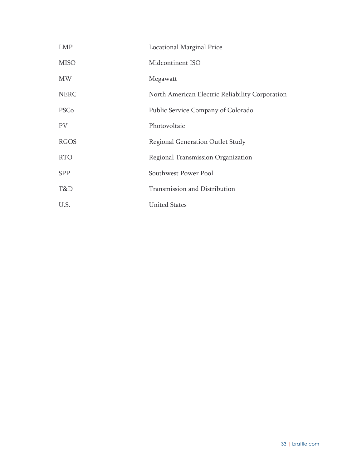| <b>LMP</b>  | <b>Locational Marginal Price</b>                |
|-------------|-------------------------------------------------|
| <b>MISO</b> | Midcontinent ISO                                |
| <b>MW</b>   | Megawatt                                        |
| <b>NERC</b> | North American Electric Reliability Corporation |
| PSCo        | Public Service Company of Colorado              |
| <b>PV</b>   | Photovoltaic                                    |
| <b>RGOS</b> | Regional Generation Outlet Study                |
| <b>RTO</b>  | Regional Transmission Organization              |
| <b>SPP</b>  | Southwest Power Pool                            |
| T&D         | Transmission and Distribution                   |
| U.S.        | <b>United States</b>                            |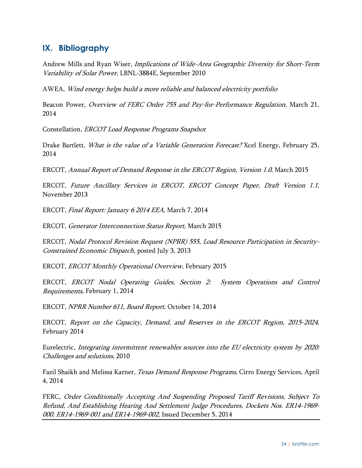# **IX. Bibliography**

Andrew Mills and Ryan Wiser, Implications of Wide-Area Geographic Diversity for Short-Term Variability of Solar Power, LBNL-3884E, September 2010

AWEA, Wind energy helps build a more reliable and balanced electricity portfolio

Beacon Power, Overview of FERC Order 755 and Pay-for-Performance Regulation, March 21, 2014

Constellation, ERCOT Load Response Programs Snapshot

Drake Bartlett, What is the value of a Variable Generation Forecast? Xcel Energy, February 25, 2014

ERCOT, Annual Report of Demand Response in the ERCOT Region, Version 1.0, March 2015

ERCOT, Future Ancillary Services in ERCOT, ERCOT Concept Paper, Draft Version 1.1, November 2013

ERCOT, Final Report: January 6 2014 EEA, March 7, 2014

ERCOT, Generator Interconnection Status Report, March 2015

ERCOT, Nodal Protocol Revision Request (NPRR) 555, Load Resource Participation in Security-Constrained Economic Dispatch, posted July 3, 2013

ERCOT, ERCOT Monthly Operational Overview, February 2015

ERCOT, ERCOT Nodal Operating Guides, Section 2: System Operations and Control Requirements, February 1, 2014

ERCOT, NPRR Number 611, Board Report, October 14, 2014

ERCOT, Report on the Capacity, Demand, and Reserves in the ERCOT Region, 2015-2024, February 2014

Eurelectric, Integrating intermittent renewables sources into the EU electricity system by 2020: Challenges and solutions, 2010

Fazil Shaikh and Melissa Karner, Texas Demand Response Programs, Cirro Energy Services, April 4, 2014

FERC, Order Conditionally Accepting And Suspending Proposed Tariff Revisions, Subject To Refund, And Establishing Hearing And Settlement Judge Procedures, Dockets Nos. ER14-1969- 000, ER14-1969-001 and ER14-1969-002, Issued December 5, 2014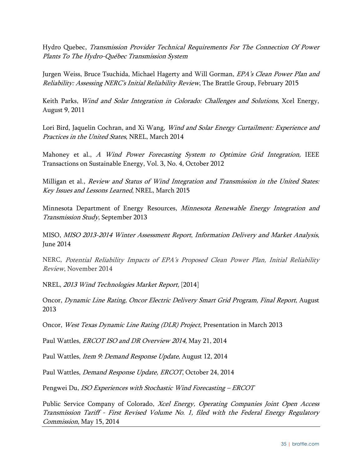Hydro Quebec, Transmission Provider Technical Requirements For The Connection Of Power Plants To The Hydro-Québec Transmission System

Jurgen Weiss, Bruce Tsuchida, Michael Hagerty and Will Gorman, EPA's Clean Power Plan and Reliability: Assessing NERC's Initial Reliability Review, The Brattle Group, February 2015

Keith Parks, *Wind and Solar Integration in Colorado: Challenges and Solutions*, Xcel Energy, August 9, 2011

Lori Bird, Jaquelin Cochran, and Xi Wang, *Wind and Solar Energy Curtailment: Experience and* Practices in the United States, NREL, March 2014

Mahoney et al., A Wind Power Forecasting System to Optimize Grid Integration, IEEE Transactions on Sustainable Energy, Vol. 3, No. 4, October 2012

Milligan et al., Review and Status of Wind Integration and Transmission in the United States: Key Issues and Lessons Learned, NREL, March 2015

Minnesota Department of Energy Resources, Minnesota Renewable Energy Integration and Transmission Study, September 2013

MISO, MISO 2013-2014 Winter Assessment Report, Information Delivery and Market Analysis, June 2014

NERC, Potential Reliability Impacts of EPA's Proposed Clean Power Plan, Initial Reliability Review, November 2014

NREL, 2013 Wind Technologies Market Report, [2014]

Oncor, Dynamic Line Rating, Oncor Electric Delivery Smart Grid Program, Final Report, August 2013

Oncor, West Texas Dynamic Line Rating (DLR) Project, Presentation in March 2013

Paul Wattles, ERCOT ISO and DR Overview 2014, May 21, 2014

Paul Wattles, Item 9: Demand Response Update, August 12, 2014

Paul Wattles, Demand Response Update, ERCOT, October 24, 2014

Pengwei Du, ISO Experiences with Stochastic Wind Forecasting – ERCOT

Public Service Company of Colorado, Xcel Energy, Operating Companies Joint Open Access Transmission Tariff - First Revised Volume No. 1, filed with the Federal Energy Regulatory Commission, May 15, 2014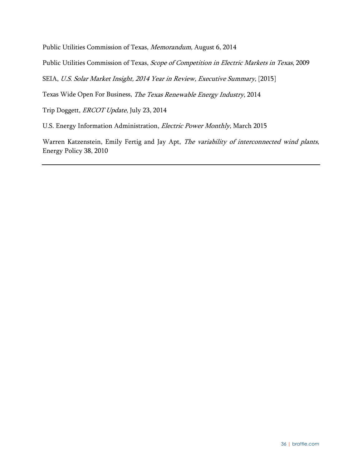Public Utilities Commission of Texas, Memorandum, August 6, 2014

Public Utilities Commission of Texas, Scope of Competition in Electric Markets in Texas, 2009

SEIA, U.S. Solar Market Insight, 2014 Year in Review, Executive Summary, [2015]

Texas Wide Open For Business, The Texas Renewable Energy Industry, 2014

Trip Doggett, ERCOT Update, July 23, 2014

U.S. Energy Information Administration, Electric Power Monthly, March 2015

Warren Katzenstein, Emily Fertig and Jay Apt, The variability of interconnected wind plants, Energy Policy 38, 2010